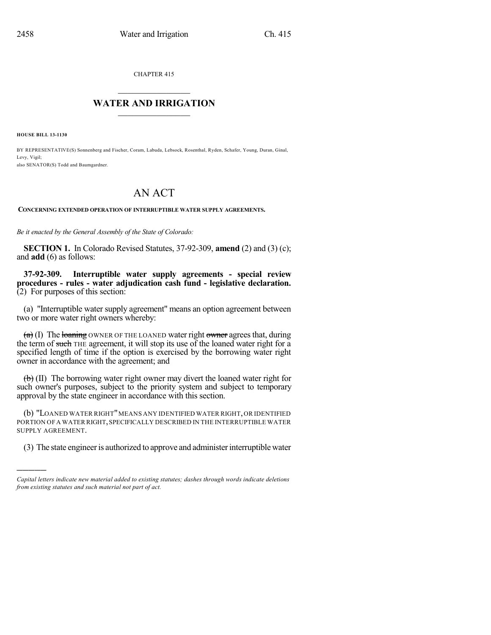CHAPTER 415

## $\mathcal{L}_\text{max}$  . The set of the set of the set of the set of the set of the set of the set of the set of the set of the set of the set of the set of the set of the set of the set of the set of the set of the set of the set **WATER AND IRRIGATION**  $\_$   $\_$

**HOUSE BILL 13-1130**

)))))

BY REPRESENTATIVE(S) Sonnenberg and Fischer, Coram, Labuda, Lebsock, Rosenthal, Ryden, Schafer, Young, Duran, Ginal, Levy, Vigil; also SENATOR(S) Todd and Baumgardner.

## AN ACT

**CONCERNING EXTENDED OPERATION OF INTERRUPTIBLE WATER SUPPLY AGREEMENTS.**

*Be it enacted by the General Assembly of the State of Colorado:*

**SECTION 1.** In Colorado Revised Statutes, 37-92-309, **amend** (2) and (3) (c); and **add** (6) as follows:

**37-92-309. Interruptible water supply agreements - special review procedures - rules - water adjudication cash fund - legislative declaration.**  $(2)$  For purposes of this section:

(a) "Interruptible water supply agreement" means an option agreement between two or more water right owners whereby:

 $(a)$  (I) The loaning OWNER OF THE LOANED water right owner agrees that, during the term of such THE agreement, it will stop its use of the loaned water right for a specified length of time if the option is exercised by the borrowing water right owner in accordance with the agreement; and

 $\left(\frac{b}{b}\right)$  (II) The borrowing water right owner may divert the loaned water right for such owner's purposes, subject to the priority system and subject to temporary approval by the state engineer in accordance with this section.

(b) "LOANED WATER RIGHT"MEANS ANY IDENTIFIED WATER RIGHT,OR IDENTIFIED PORTION OF A WATER RIGHT, SPECIFICALLY DESCRIBED IN THE INTERRUPTIBLE WATER SUPPLY AGREEMENT.

(3) The state engineer is authorized to approve and administer interruptible water

*Capital letters indicate new material added to existing statutes; dashes through words indicate deletions from existing statutes and such material not part of act.*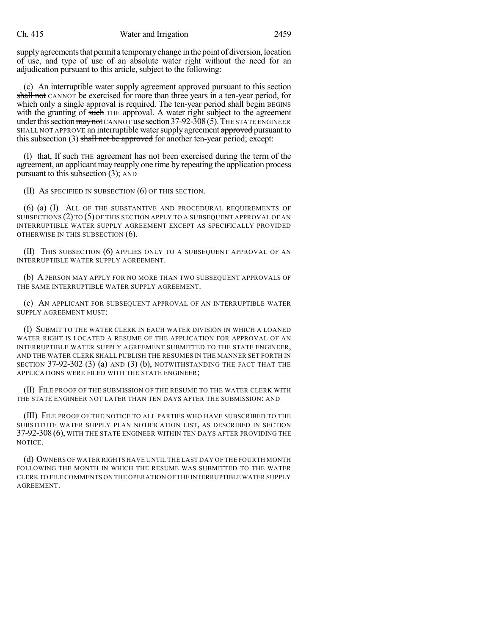supply agreements that permit a temporary change in the point of diversion, location of use, and type of use of an absolute water right without the need for an adjudication pursuant to this article, subject to the following:

(c) An interruptible water supply agreement approved pursuant to this section shall not CANNOT be exercised for more than three years in a ten-year period, for which only a single approval is required. The ten-year period shall begin BEGINS with the granting of such THE approval. A water right subject to the agreement under this section  $\frac{1}{2}$  may not CANNOT use section 37-92-308 (5). The STATE ENGINEER SHALL NOT APPROVE an interruptible water supply agreement approved pursuant to this subsection (3) shall not be approved for another ten-year period; except:

(I) that, If such THE agreement has not been exercised during the term of the agreement, an applicant may reapply one time by repeating the application process pursuant to this subsection (3); AND

(II) AS SPECIFIED IN SUBSECTION (6) OF THIS SECTION.

(6) (a) (I) ALL OF THE SUBSTANTIVE AND PROCEDURAL REQUIREMENTS OF SUBSECTIONS (2) TO (5) OF THIS SECTION APPLY TO A SUBSEQUENT APPROVAL OF AN INTERRUPTIBLE WATER SUPPLY AGREEMENT EXCEPT AS SPECIFICALLY PROVIDED OTHERWISE IN THIS SUBSECTION (6).

(II) THIS SUBSECTION (6) APPLIES ONLY TO A SUBSEQUENT APPROVAL OF AN INTERRUPTIBLE WATER SUPPLY AGREEMENT.

(b) A PERSON MAY APPLY FOR NO MORE THAN TWO SUBSEQUENT APPROVALS OF THE SAME INTERRUPTIBLE WATER SUPPLY AGREEMENT.

(c) AN APPLICANT FOR SUBSEQUENT APPROVAL OF AN INTERRUPTIBLE WATER SUPPLY AGREEMENT MUST:

(I) SUBMIT TO THE WATER CLERK IN EACH WATER DIVISION IN WHICH A LOANED WATER RIGHT IS LOCATED A RESUME OF THE APPLICATION FOR APPROVAL OF AN INTERRUPTIBLE WATER SUPPLY AGREEMENT SUBMITTED TO THE STATE ENGINEER, AND THE WATER CLERK SHALL PUBLISH THE RESUMES IN THE MANNER SET FORTH IN SECTION 37-92-302 (3) (a) AND (3) (b), NOTWITHSTANDING THE FACT THAT THE APPLICATIONS WERE FILED WITH THE STATE ENGINEER;

(II) FILE PROOF OF THE SUBMISSION OF THE RESUME TO THE WATER CLERK WITH THE STATE ENGINEER NOT LATER THAN TEN DAYS AFTER THE SUBMISSION; AND

(III) FILE PROOF OF THE NOTICE TO ALL PARTIES WHO HAVE SUBSCRIBED TO THE SUBSTITUTE WATER SUPPLY PLAN NOTIFICATION LIST, AS DESCRIBED IN SECTION 37-92-308 (6), WITH THE STATE ENGINEER WITHIN TEN DAYS AFTER PROVIDING THE NOTICE.

(d) OWNERS OF WATER RIGHTS HAVE UNTIL THE LAST DAY OF THE FOURTH MONTH FOLLOWING THE MONTH IN WHICH THE RESUME WAS SUBMITTED TO THE WATER CLERK TO FILE COMMENTS ON THE OPERATION OF THE INTERRUPTIBLE WATER SUPPLY AGREEMENT.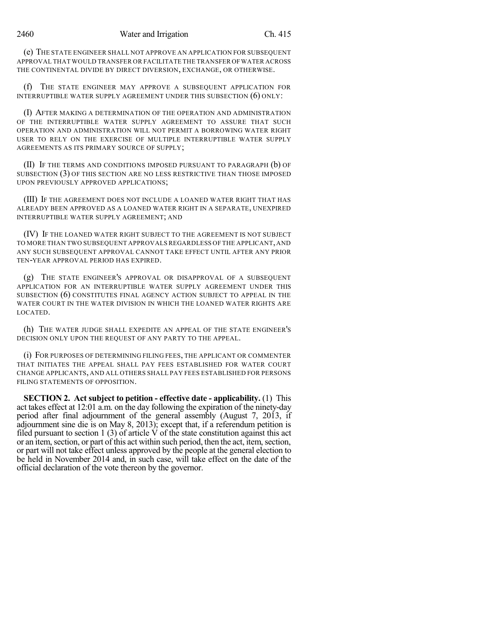(e) THE STATE ENGINEER SHALL NOT APPROVE AN APPLICATION FOR SUBSEQUENT APPROVAL THAT WOULD TRANSFER OR FACILITATE THE TRANSFER OFWATER ACROSS THE CONTINENTAL DIVIDE BY DIRECT DIVERSION, EXCHANGE, OR OTHERWISE.

(f) THE STATE ENGINEER MAY APPROVE A SUBSEQUENT APPLICATION FOR INTERRUPTIBLE WATER SUPPLY AGREEMENT UNDER THIS SUBSECTION (6) ONLY:

(I) AFTER MAKING A DETERMINATION OF THE OPERATION AND ADMINISTRATION OF THE INTERRUPTIBLE WATER SUPPLY AGREEMENT TO ASSURE THAT SUCH OPERATION AND ADMINISTRATION WILL NOT PERMIT A BORROWING WATER RIGHT USER TO RELY ON THE EXERCISE OF MULTIPLE INTERRUPTIBLE WATER SUPPLY AGREEMENTS AS ITS PRIMARY SOURCE OF SUPPLY;

(II) IF THE TERMS AND CONDITIONS IMPOSED PURSUANT TO PARAGRAPH (b) OF SUBSECTION (3) OF THIS SECTION ARE NO LESS RESTRICTIVE THAN THOSE IMPOSED UPON PREVIOUSLY APPROVED APPLICATIONS;

(III) IF THE AGREEMENT DOES NOT INCLUDE A LOANED WATER RIGHT THAT HAS ALREADY BEEN APPROVED AS A LOANED WATER RIGHT IN A SEPARATE, UNEXPIRED INTERRUPTIBLE WATER SUPPLY AGREEMENT; AND

(IV) IF THE LOANED WATER RIGHT SUBJECT TO THE AGREEMENT IS NOT SUBJECT TO MORE THAN TWO SUBSEQUENT APPROVALS REGARDLESS OF THE APPLICANT, AND ANY SUCH SUBSEQUENT APPROVAL CANNOT TAKE EFFECT UNTIL AFTER ANY PRIOR TEN-YEAR APPROVAL PERIOD HAS EXPIRED.

(g) THE STATE ENGINEER'S APPROVAL OR DISAPPROVAL OF A SUBSEQUENT APPLICATION FOR AN INTERRUPTIBLE WATER SUPPLY AGREEMENT UNDER THIS SUBSECTION (6) CONSTITUTES FINAL AGENCY ACTION SUBJECT TO APPEAL IN THE WATER COURT IN THE WATER DIVISION IN WHICH THE LOANED WATER RIGHTS ARE LOCATED.

(h) THE WATER JUDGE SHALL EXPEDITE AN APPEAL OF THE STATE ENGINEER'S DECISION ONLY UPON THE REQUEST OF ANY PARTY TO THE APPEAL.

(i) FOR PURPOSES OF DETERMINING FILING FEES, THE APPLICANT OR COMMENTER THAT INITIATES THE APPEAL SHALL PAY FEES ESTABLISHED FOR WATER COURT CHANGE APPLICANTS, AND ALL OTHERS SHALL PAY FEES ESTABLISHED FOR PERSONS FILING STATEMENTS OF OPPOSITION.

**SECTION 2. Act subject to petition - effective date - applicability.** (1) This act takes effect at 12:01 a.m. on the day following the expiration of the ninety-day period after final adjournment of the general assembly (August 7, 2013, if adjournment sine die is on May 8, 2013); except that, if a referendum petition is filed pursuant to section 1 (3) of article V of the state constitution against this act or an item, section, or part of this act within such period, then the act, item, section, or part will not take effect unless approved by the people at the general election to be held in November 2014 and, in such case, will take effect on the date of the official declaration of the vote thereon by the governor.